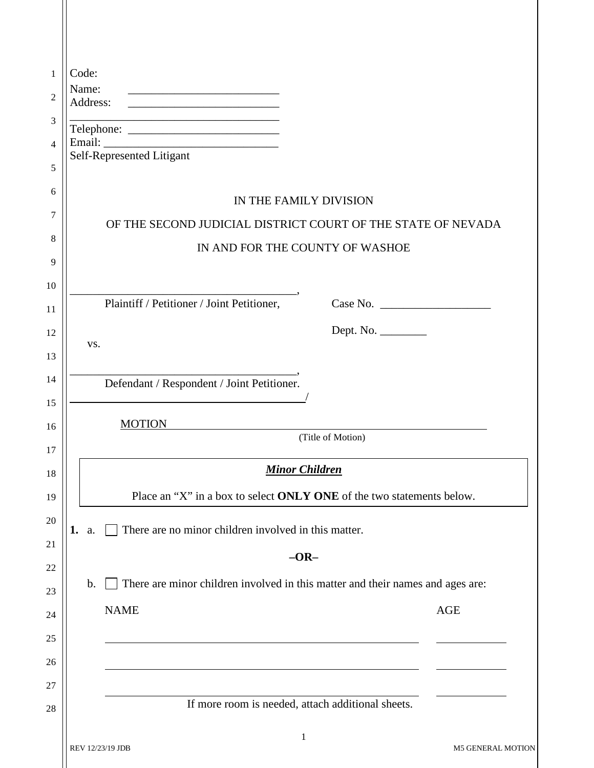| Name:<br><u> 1989 - Johann Barbara, martin da basar da basar da basar da basar da basar da basar da basar da basar</u> |                                                                                |  |
|------------------------------------------------------------------------------------------------------------------------|--------------------------------------------------------------------------------|--|
| Address:<br><u> 1989 - Johann Barn, mars an t-Amerikaansk politiker (</u>                                              |                                                                                |  |
|                                                                                                                        |                                                                                |  |
| Self-Represented Litigant                                                                                              |                                                                                |  |
|                                                                                                                        |                                                                                |  |
|                                                                                                                        | IN THE FAMILY DIVISION                                                         |  |
| OF THE SECOND JUDICIAL DISTRICT COURT OF THE STATE OF NEVADA                                                           |                                                                                |  |
|                                                                                                                        | IN AND FOR THE COUNTY OF WASHOE                                                |  |
|                                                                                                                        |                                                                                |  |
| Plaintiff / Petitioner / Joint Petitioner,                                                                             |                                                                                |  |
|                                                                                                                        |                                                                                |  |
| VS.                                                                                                                    |                                                                                |  |
|                                                                                                                        |                                                                                |  |
| Defendant / Respondent / Joint Petitioner.                                                                             |                                                                                |  |
|                                                                                                                        |                                                                                |  |
| <b>MOTION</b>                                                                                                          | (Title of Motion)                                                              |  |
|                                                                                                                        |                                                                                |  |
|                                                                                                                        | <b>Minor Children</b>                                                          |  |
|                                                                                                                        | Place an "X" in a box to select ONLY ONE of the two statements below.          |  |
| There are no minor children involved in this matter.<br>1.<br>a.                                                       |                                                                                |  |
|                                                                                                                        |                                                                                |  |
|                                                                                                                        | $-OR-$                                                                         |  |
| $\mathbf b$ .                                                                                                          | There are minor children involved in this matter and their names and ages are: |  |
| <b>NAME</b>                                                                                                            | <b>AGE</b>                                                                     |  |
|                                                                                                                        |                                                                                |  |
|                                                                                                                        |                                                                                |  |
|                                                                                                                        |                                                                                |  |
|                                                                                                                        |                                                                                |  |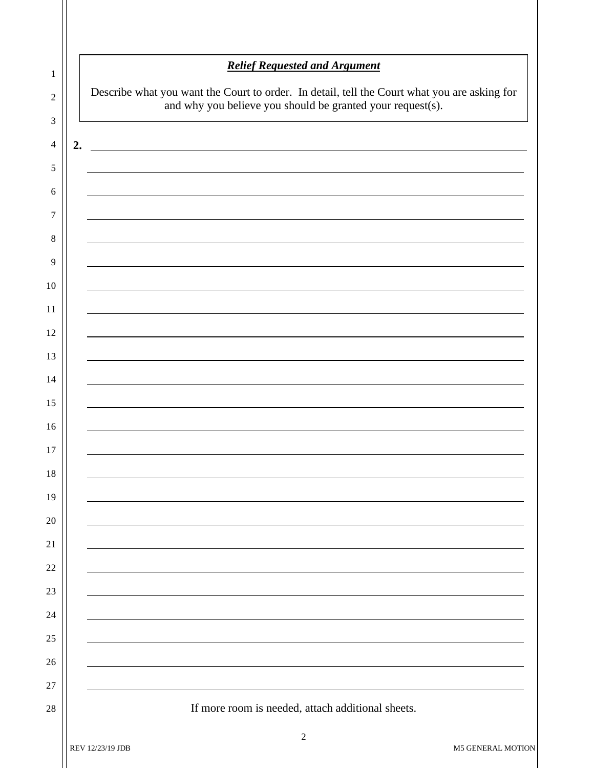| 1              |    | <b>Relief Requested and Argument</b>                                                         |  |  |  |  |
|----------------|----|----------------------------------------------------------------------------------------------|--|--|--|--|
| $\overline{c}$ |    | Describe what you want the Court to order. In detail, tell the Court what you are asking for |  |  |  |  |
| 3              |    | and why you believe you should be granted your request(s).                                   |  |  |  |  |
| 4              | 2. | <u> 1980 - Johann Stoff, fransk politik (d. 1980)</u>                                        |  |  |  |  |
| 5              |    |                                                                                              |  |  |  |  |
| 6              |    |                                                                                              |  |  |  |  |
| 7              |    |                                                                                              |  |  |  |  |
| 8              |    |                                                                                              |  |  |  |  |
| 9              |    |                                                                                              |  |  |  |  |
| 10             |    |                                                                                              |  |  |  |  |
| 11             |    |                                                                                              |  |  |  |  |
| 12             |    |                                                                                              |  |  |  |  |
| 13             |    |                                                                                              |  |  |  |  |
| 14             |    |                                                                                              |  |  |  |  |
| 15             |    |                                                                                              |  |  |  |  |
| 16             |    |                                                                                              |  |  |  |  |
| 17             |    |                                                                                              |  |  |  |  |
| 18             |    |                                                                                              |  |  |  |  |
| 19             |    |                                                                                              |  |  |  |  |
| 20             |    |                                                                                              |  |  |  |  |
| 21             |    |                                                                                              |  |  |  |  |
| 22             |    |                                                                                              |  |  |  |  |
| 23             |    |                                                                                              |  |  |  |  |
| 24             |    |                                                                                              |  |  |  |  |
| 25             |    |                                                                                              |  |  |  |  |
| 26             |    |                                                                                              |  |  |  |  |
| 27<br>28       |    | If more room is needed, attach additional sheets.                                            |  |  |  |  |
|                |    |                                                                                              |  |  |  |  |